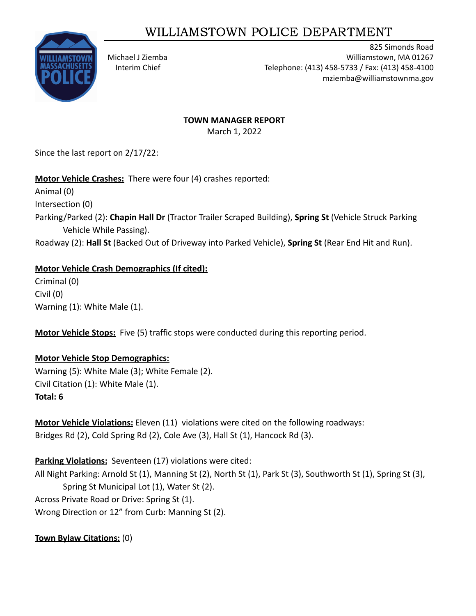# WILLIAMSTOWN POLICE DEPARTMENT



825 Simonds Road Michael J Ziemba Williamstown, MA 01267 Interim Chief Telephone: (413) 458-5733 / Fax: (413) 458-4100 mziemba@williamstownma.gov

#### **TOWN MANAGER REPORT**

March 1, 2022

Since the last report on 2/17/22:

# **Motor Vehicle Crashes:** There were four (4) crashes reported:

Animal (0)

Intersection (0)

Parking/Parked (2): **Chapin Hall Dr** (Tractor Trailer Scraped Building), **Spring St** (Vehicle Struck Parking Vehicle While Passing).

Roadway (2): **Hall St** (Backed Out of Driveway into Parked Vehicle), **Spring St** (Rear End Hit and Run).

#### **Motor Vehicle Crash Demographics (If cited):**

Criminal (0) Civil (0) Warning (1): White Male (1).

**Motor Vehicle Stops:** Five (5) traffic stops were conducted during this reporting period.

#### **Motor Vehicle Stop Demographics:**

Warning (5): White Male (3); White Female (2). Civil Citation (1): White Male (1). **Total: 6**

**Motor Vehicle Violations:** Eleven (11) violations were cited on the following roadways: Bridges Rd (2), Cold Spring Rd (2), Cole Ave (3), Hall St (1), Hancock Rd (3).

**Parking Violations:** Seventeen (17) violations were cited:

All Night Parking: Arnold St (1), Manning St (2), North St (1), Park St (3), Southworth St (1), Spring St (3), Spring St Municipal Lot (1), Water St (2).

Across Private Road or Drive: Spring St (1).

Wrong Direction or 12" from Curb: Manning St (2).

**Town Bylaw Citations:** (0)